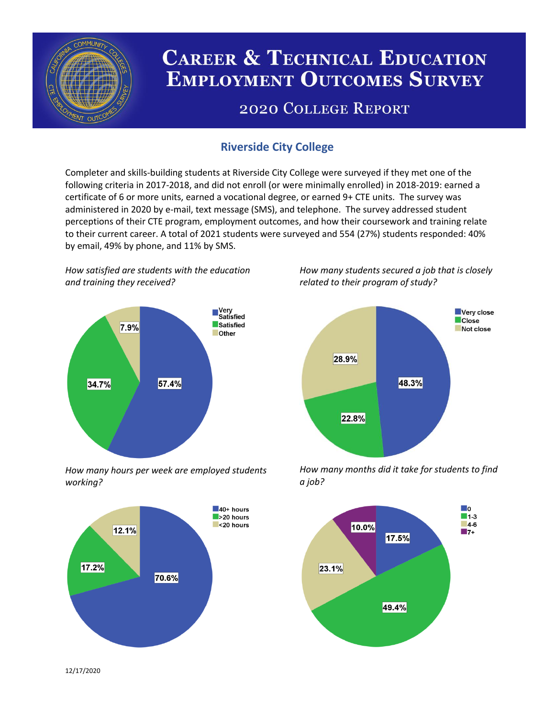

# **CAREER & TECHNICAL EDUCATION EMPLOYMENT OUTCOMES SURVEY**

## **2020 COLLEGE REPORT**

## **Riverside City College**

Completer and skills-building students at Riverside City College were surveyed if they met one of the following criteria in 2017-2018, and did not enroll (or were minimally enrolled) in 2018-2019: earned a certificate of 6 or more units, earned a vocational degree, or earned 9+ CTE units. The survey was administered in 2020 by e-mail, text message (SMS), and telephone. The survey addressed student perceptions of their CTE program, employment outcomes, and how their coursework and training relate to their current career. A total of 2021 students were surveyed and 554 (27%) students responded: 40% by email, 49% by phone, and 11% by SMS.

*How satisfied are students with the education and training they received?*



*How many hours per week are employed students working?*



*How many students secured a job that is closely related to their program of study?*



*How many months did it take for students to find a job?*